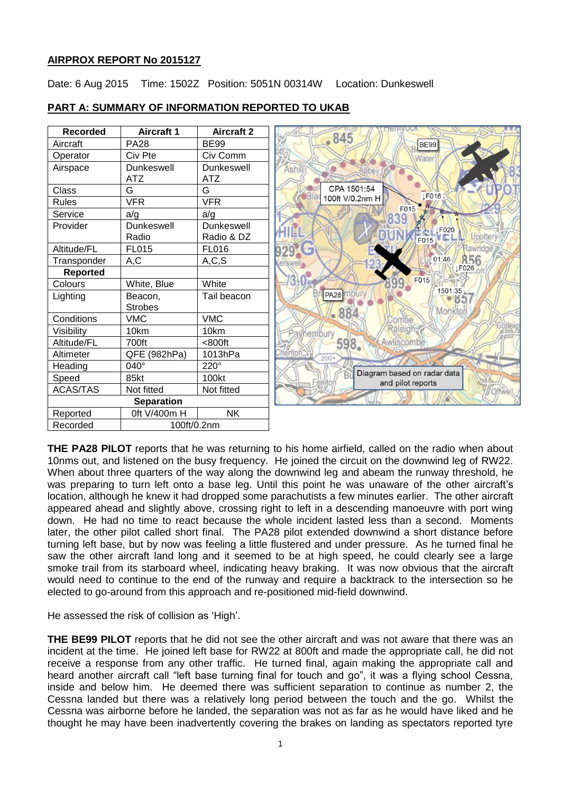# **AIRPROX REPORT No 2015127**

Date: 6 Aug 2015 Time: 1502Z Position: 5051N 00314W Location: Dunkeswell

| <b>Recorded</b>         | <b>Aircraft 1</b> | <b>Aircraft 2</b> | <b>HEIHIVUUN</b>                                 |
|-------------------------|-------------------|-------------------|--------------------------------------------------|
| Aircraft                | <b>PA28</b>       | <b>BE99</b>       | $-845$<br><b>BE99</b>                            |
| Operator                | Civ Pte           | Civ Comm          | Water                                            |
| Airspace                | Dunkeswell        | Dunkeswell        | Ashill                                           |
|                         | <b>ATZ</b>        | <b>ATZ</b>        |                                                  |
| Class                   | G                 | G                 | CPA 1501:54<br><b>IF016</b><br><b>Blac</b>       |
| <b>Rules</b>            | <b>VFR</b>        | <b>VFR</b>        | 100ft V/0.2nm H                                  |
| Service                 | a/g               | a/g               | F015                                             |
| Provider                | <b>Dunkeswell</b> | Dunkeswell        | <b>LF020</b>                                     |
|                         | Radio             | Radio & DZ        | Upotten<br>F015                                  |
| Altitude/FL             | <b>FL015</b>      | <b>FL016</b>      | Rawridge                                         |
| Transponder             | A,C               | A, C, S           | 856<br>01:46<br><b>Kerswell</b>                  |
| <b>Reported</b>         |                   |                   | LF026                                            |
| Colours                 | White, Blue       | White             | F015                                             |
| Lighting                | Beacon,           | Tail beacon       | 1501:35<br>PA28 MOUTY<br>85                      |
|                         | <b>Strobes</b>    |                   | Monkton<br>884                                   |
| Conditions              | <b>VMC</b>        | <b>VMC</b>        | combe                                            |
| Visibility              | 10km              | 10km              | Raleigh;<br>hembury                              |
| Altitude/FL             | 700ft             | <800ft            | 598.<br>Awliscombe                               |
| Altimeter               | QFE (982hPa)      | 1013hPa           | Cheriton<br>$200 +$                              |
| Heading                 | 040°              | 220°              |                                                  |
| Speed                   | 85kt              | 100kt             | Diagram based on radar data<br>and pilot reports |
| <b>ACAS/TAS</b>         | Not fitted        | Not fitted        |                                                  |
| <b>Separation</b>       |                   |                   |                                                  |
| Reported                | 0ft V/400m H      | <b>NK</b>         |                                                  |
| Recorded<br>100ft/0.2nm |                   |                   |                                                  |

# **PART A: SUMMARY OF INFORMATION REPORTED TO UKAB**

**THE PA28 PILOT** reports that he was returning to his home airfield, called on the radio when about 10nms out, and listened on the busy frequency. He joined the circuit on the downwind leg of RW22. When about three quarters of the way along the downwind leg and abeam the runway threshold, he was preparing to turn left onto a base leg. Until this point he was unaware of the other aircraft's location, although he knew it had dropped some parachutists a few minutes earlier. The other aircraft appeared ahead and slightly above, crossing right to left in a descending manoeuvre with port wing down. He had no time to react because the whole incident lasted less than a second. Moments later, the other pilot called short final. The PA28 pilot extended downwind a short distance before turning left base, but by now was feeling a little flustered and under pressure. As he turned final he saw the other aircraft land long and it seemed to be at high speed, he could clearly see a large smoke trail from its starboard wheel, indicating heavy braking. It was now obvious that the aircraft would need to continue to the end of the runway and require a backtrack to the intersection so he elected to go-around from this approach and re-positioned mid-field downwind.

He assessed the risk of collision as 'High'.

**THE BE99 PILOT** reports that he did not see the other aircraft and was not aware that there was an incident at the time. He joined left base for RW22 at 800ft and made the appropriate call, he did not receive a response from any other traffic. He turned final, again making the appropriate call and heard another aircraft call "left base turning final for touch and go", it was a flying school Cessna, inside and below him. He deemed there was sufficient separation to continue as number 2, the Cessna landed but there was a relatively long period between the touch and the go. Whilst the Cessna was airborne before he landed, the separation was not as far as he would have liked and he thought he may have been inadvertently covering the brakes on landing as spectators reported tyre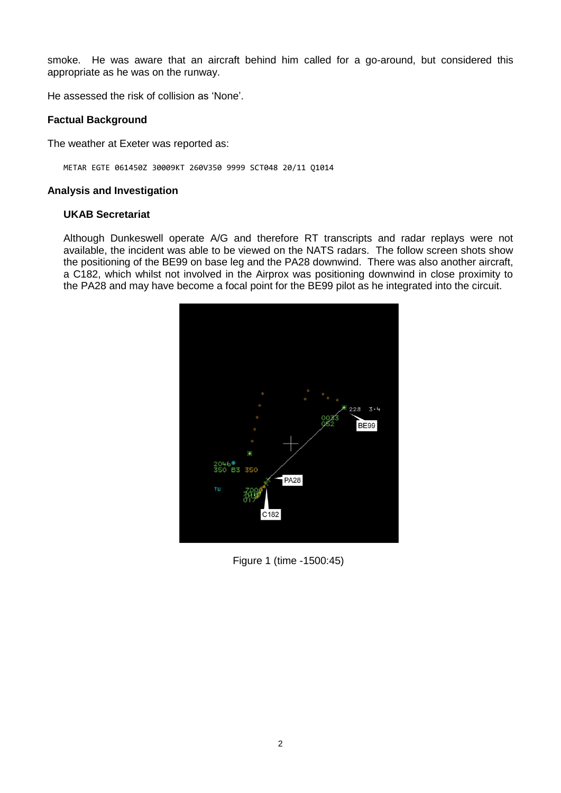smoke. He was aware that an aircraft behind him called for a go-around, but considered this appropriate as he was on the runway.

He assessed the risk of collision as 'None'.

## **Factual Background**

The weather at Exeter was reported as:

METAR EGTE 061450Z 30009KT 260V350 9999 SCT048 20/11 Q1014

#### **Analysis and Investigation**

#### **UKAB Secretariat**

Although Dunkeswell operate A/G and therefore RT transcripts and radar replays were not available, the incident was able to be viewed on the NATS radars. The follow screen shots show the positioning of the BE99 on base leg and the PA28 downwind. There was also another aircraft, a C182, which whilst not involved in the Airprox was positioning downwind in close proximity to the PA28 and may have become a focal point for the BE99 pilot as he integrated into the circuit.



Figure 1 (time -1500:45)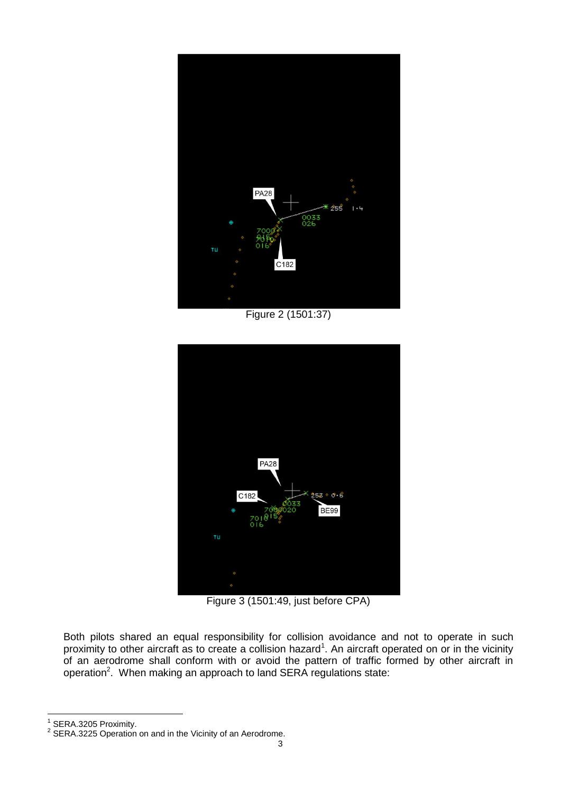

Figure 2 (1501:37)



Figure 3 (1501:49, just before CPA)

Both pilots shared an equal responsibility for collision avoidance and not to operate in such proximity to other aircraft as to create a collision hazard<sup>1</sup>. An aircraft operated on or in the vicinity of an aerodrome shall conform with or avoid the pattern of traffic formed by other aircraft in operation<sup>2</sup>. When making an approach to land SERA regulations state:

1 SERA.3205 Proximity.

 $\overline{\phantom{a}}$ 

 $2$  SERA.3225 Operation on and in the Vicinity of an Aerodrome.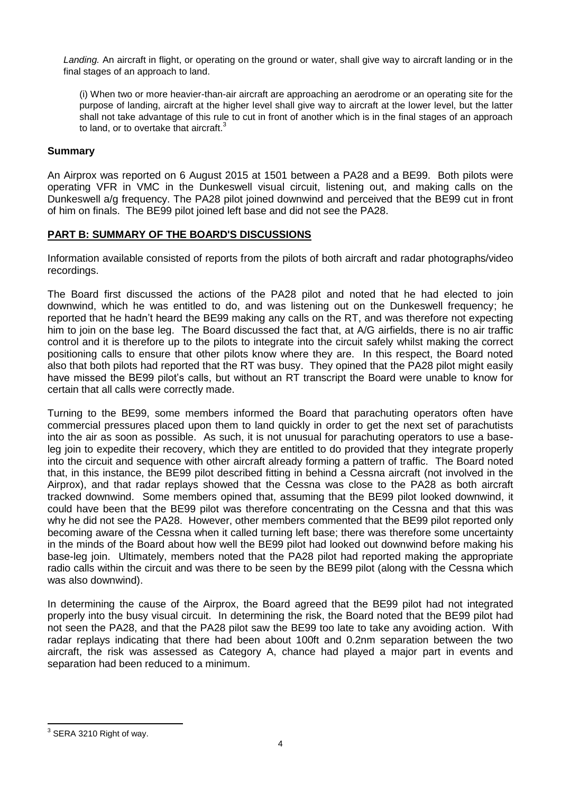*Landing.* An aircraft in flight, or operating on the ground or water, shall give way to aircraft landing or in the final stages of an approach to land.

(i) When two or more heavier-than-air aircraft are approaching an aerodrome or an operating site for the purpose of landing, aircraft at the higher level shall give way to aircraft at the lower level, but the latter shall not take advantage of this rule to cut in front of another which is in the final stages of an approach to land, or to overtake that aircraft.<sup>3</sup>

## **Summary**

An Airprox was reported on 6 August 2015 at 1501 between a PA28 and a BE99. Both pilots were operating VFR in VMC in the Dunkeswell visual circuit, listening out, and making calls on the Dunkeswell a/g frequency. The PA28 pilot joined downwind and perceived that the BE99 cut in front of him on finals. The BE99 pilot joined left base and did not see the PA28.

## **PART B: SUMMARY OF THE BOARD'S DISCUSSIONS**

Information available consisted of reports from the pilots of both aircraft and radar photographs/video recordings.

The Board first discussed the actions of the PA28 pilot and noted that he had elected to join downwind, which he was entitled to do, and was listening out on the Dunkeswell frequency; he reported that he hadn't heard the BE99 making any calls on the RT, and was therefore not expecting him to join on the base leg. The Board discussed the fact that, at A/G airfields, there is no air traffic control and it is therefore up to the pilots to integrate into the circuit safely whilst making the correct positioning calls to ensure that other pilots know where they are. In this respect, the Board noted also that both pilots had reported that the RT was busy. They opined that the PA28 pilot might easily have missed the BE99 pilot's calls, but without an RT transcript the Board were unable to know for certain that all calls were correctly made.

Turning to the BE99, some members informed the Board that parachuting operators often have commercial pressures placed upon them to land quickly in order to get the next set of parachutists into the air as soon as possible. As such, it is not unusual for parachuting operators to use a baseleg join to expedite their recovery, which they are entitled to do provided that they integrate properly into the circuit and sequence with other aircraft already forming a pattern of traffic. The Board noted that, in this instance, the BE99 pilot described fitting in behind a Cessna aircraft (not involved in the Airprox), and that radar replays showed that the Cessna was close to the PA28 as both aircraft tracked downwind. Some members opined that, assuming that the BE99 pilot looked downwind, it could have been that the BE99 pilot was therefore concentrating on the Cessna and that this was why he did not see the PA28. However, other members commented that the BE99 pilot reported only becoming aware of the Cessna when it called turning left base; there was therefore some uncertainty in the minds of the Board about how well the BE99 pilot had looked out downwind before making his base-leg join. Ultimately, members noted that the PA28 pilot had reported making the appropriate radio calls within the circuit and was there to be seen by the BE99 pilot (along with the Cessna which was also downwind).

In determining the cause of the Airprox, the Board agreed that the BE99 pilot had not integrated properly into the busy visual circuit. In determining the risk, the Board noted that the BE99 pilot had not seen the PA28, and that the PA28 pilot saw the BE99 too late to take any avoiding action. With radar replays indicating that there had been about 100ft and 0.2nm separation between the two aircraft, the risk was assessed as Category A, chance had played a major part in events and separation had been reduced to a minimum.

 $\overline{\phantom{a}}$  $3$  SERA 3210 Right of way.